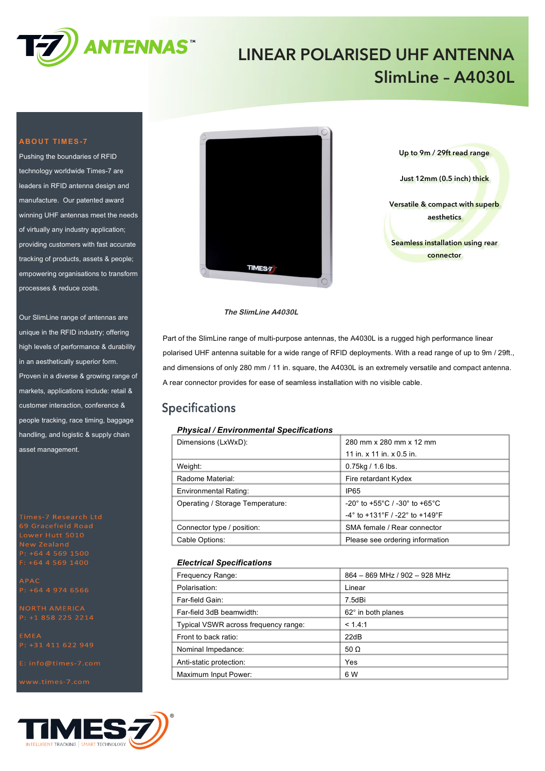

## **LINEAR POLARISED UHF ANTENNA SlimLine – A4030L**

#### **ABOUT TIMES-7**

Pushing the boundaries of RFID technology worldwide Times-7 are leaders in RFID antenna design and manufacture. Our patented award winning UHF antennas meet the needs of virtually any industry application; providing customers with fast accurate tracking of products, assets & people; empowering organisations to transform processes & reduce costs.

Our SlimLine range of antennas are unique in the RFID industry; offering high levels of performance & durability in an aesthetically superior form. Proven in a diverse & growing range of markets, applications include: retail & customer interaction, conference & people tracking, race timing, baggage handling, and logistic & supply chain asset management.

 $P: +6445691500$ 

**APAC**  $P: +6449746566$ 







#### **The SlimLine A4030L**

Part of the SlimLine range of multi-purpose antennas, the A4030L is a rugged high performance linear polarised UHF antenna suitable for a wide range of RFID deployments. With a read range of up to 9m / 29ft., and dimensions of only 280 mm / 11 in. square, the A4030L is an extremely versatile and compact antenna. A rear connector provides for ease of seamless installation with no visible cable.

### **Specifications**

#### *Physical / Environmental Specifications*

| Dimensions (LxWxD):              | 280 mm x 280 mm x 12 mm                                                |  |
|----------------------------------|------------------------------------------------------------------------|--|
|                                  | 11 in. $x$ 11 in. $x$ 0.5 in.                                          |  |
| Weight:                          | $0.75$ kg / 1.6 lbs.                                                   |  |
| Radome Material:                 | Fire retardant Kydex                                                   |  |
| Environmental Rating:            | IP65                                                                   |  |
| Operating / Storage Temperature: | $-20^{\circ}$ to +55 $^{\circ}$ C / -30 $^{\circ}$ to +65 $^{\circ}$ C |  |
|                                  | $-4^{\circ}$ to +131°F / -22° to +149°F                                |  |
| Connector type / position:       | SMA female / Rear connector                                            |  |
| Cable Options:                   | Please see ordering information                                        |  |

#### *Electrical Specifications*

| Frequency Range:                     | 864 - 869 MHz / 902 - 928 MHz |
|--------------------------------------|-------------------------------|
| Polarisation:                        | Linear                        |
| Far-field Gain:                      | 7.5dBi                        |
| Far-field 3dB beamwidth:             | 62° in both planes            |
| Typical VSWR across frequency range: | < 1.4:1                       |
| Front to back ratio:                 | 22dB                          |
| Nominal Impedance:                   | 50 $\Omega$                   |
| Anti-static protection:              | Yes                           |
| Maximum Input Power:                 | 6 W                           |